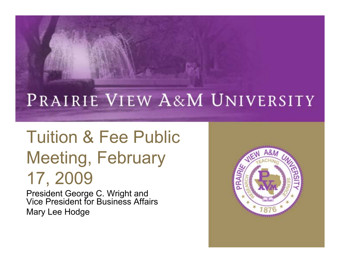#### PRAIRIE VIEW A&M UNIVERSITY

# Tuition & Fee Public Meeting, February 17, 2009

President George C. Wright and Vice President for Business Affairs Mary Lee Hodge

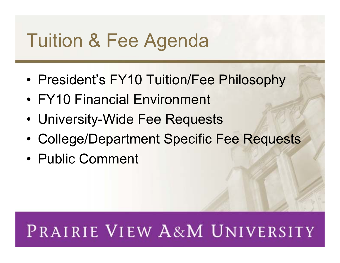# Tuition & Fee Agenda

- President's FY10 Tuition/Fee Philosophy
- FY10 Financial Environment
- University-Wide Fee Requests
- College/Department Specific Fee Requests
- Public Comment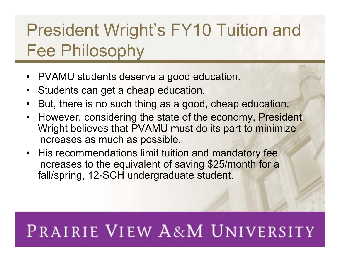## President Wright's FY10 Tuition and Fee Philosophy

- PVAMU students deserve a good education.
- Students can get a cheap education.
- But, there is no such thing as a good, cheap education.
- However, considering the state of the economy, President Wright believes that PVAMU must do its part to minimize increases as much as possible.
- His recommendations limit tuition and mandatory fee increases to the equivalent of saving \$25/month for a fall/spring, 12-SCH undergraduate student.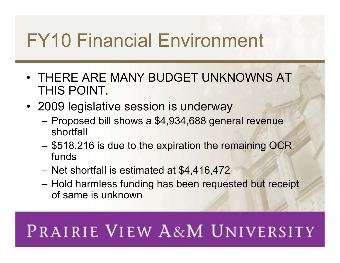# FY10 Financial Environment

- THERE ARE MANY BUDGET UNKNOWNS AT THIS POINT.
- 2009 legislative session is underway
	- Proposed bill shows a \$4,934,688 general revenue shortfall
	- \$518,216 is due to the expiration the remaining OCR funds
	- Net shortfall is estimated at \$4,416,472
	- Hold harmless funding has been requested but receipt of same is unknown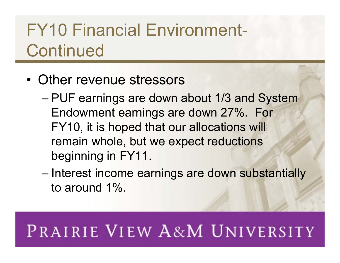## FY10 Financial Environment-**Continued**

- Other revenue stressors
	- PUF earnings are down about 1/3 and System Endowment earnings are down 27%. For FY10, it is hoped that our allocations will remain whole, but we expect reductions beginning in FY11.
	- Interest income earnings are down substantially to around 1%.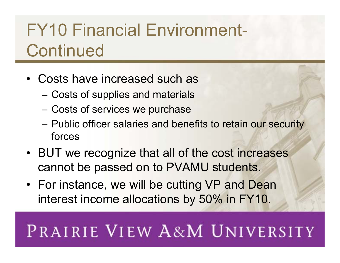## FY10 Financial Environment-**Continued**

- Costs have increased such as
	- Costs of supplies and materials
	- Costs of services we purchase
	- Public officer salaries and benefits to retain our security forces
- BUT we recognize that all of the cost increases cannot be passed on to PVAMU students.
- For instance, we will be cutting VP and Dean interest income allocations by 50% in FY10.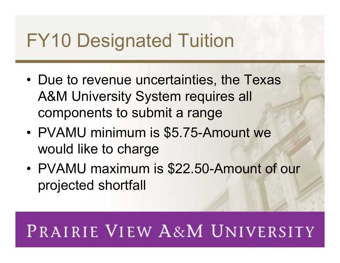# FY10 Designated Tuition

- Due to revenue uncertainties, the Texas A&M University System requires all components to submit a range
- PVAMU minimum is \$5.75-Amount we would like to charge
- PVAMU maximum is \$22.50-Amount of our projected shortfall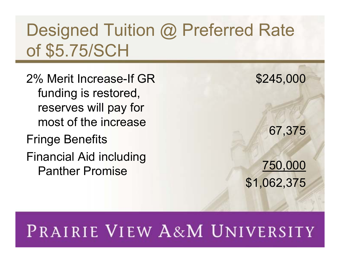#### Designed Tuition @ Preferred Rate of \$5.75/SCH

- 2% Merit Increase-If GR funding is restored, reserves will pay for most of the increase
- Fringe Benefits
- Financial Aid including Panther Promise

\$245,000

67,375

#### 750,000 \$1,062,375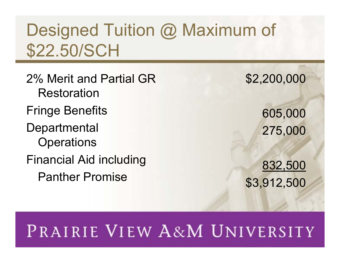#### Designed Tuition @ Maximum of \$22.50/SCH

2% Merit and Partial GR Restoration Fringe Benefits **Departmental Operations** Financial Aid including Panther Promise

\$2,200,000

605,000 275,000

832,500 \$3,912,500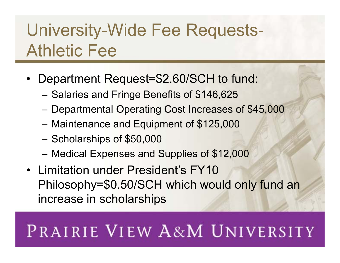#### University-Wide Fee Requests-Athletic Fee

- Department Request=\$2.60/SCH to fund:
	- Salaries and Fringe Benefits of \$146,625
	- Departmental Operating Cost Increases of \$45,000
	- Maintenance and Equipment of \$125,000
	- Scholarships of \$50,000
	- Medical Expenses and Supplies of \$12,000
- Limitation under President's FY10 Philosophy=\$0.50/SCH which would only fund an increase in scholarships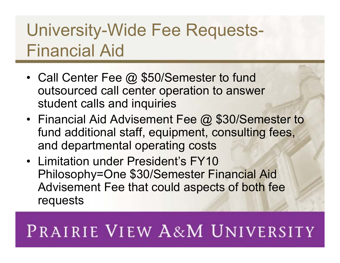## University-Wide Fee Requests-Financial Aid

- Call Center Fee @ \$50/Semester to fund outsourced call center operation to answer student calls and inquiries
- Financial Aid Advisement Fee @ \$30/Semester to fund additional staff, equipment, consulting fees, and departmental operating costs
- Limitation under President's FY10 Philosophy=One \$30/Semester Financial Aid Advisement Fee that could aspects of both fee requests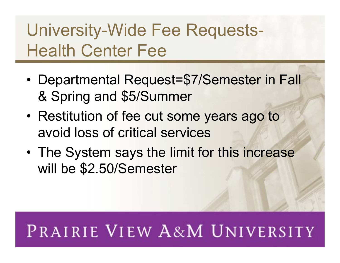#### University-Wide Fee Requests-Health Center Fee

- Departmental Request=\$7/Semester in Fall & Spring and \$5/Summer
- Restitution of fee cut some years ago to avoid loss of critical services
- The System says the limit for this increase will be \$2.50/Semester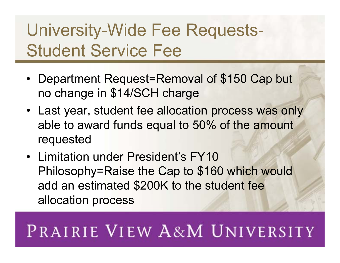## University-Wide Fee Requests-Student Service Fee

- Department Request=Removal of \$150 Cap but no change in \$14/SCH charge
- Last year, student fee allocation process was only able to award funds equal to 50% of the amount requested
- Limitation under President's FY10 Philosophy=Raise the Cap to \$160 which would add an estimated \$200K to the student fee allocation process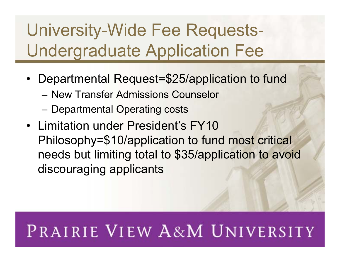## University-Wide Fee Requests-Undergraduate Application Fee

- Departmental Request=\$25/application to fund
	- New Transfer Admissions Counselor
	- Departmental Operating costs
- Limitation under President's FY10 Philosophy=\$10/application to fund most critical needs but limiting total to \$35/application to avoid discouraging applicants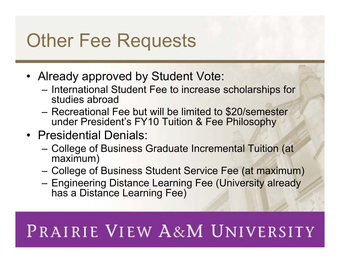# Other Fee Requests

- Already approved by Student Vote:
	- International Student Fee to increase scholarships for studies abroad
	- Recreational Fee but will be limited to \$20/semester under President's FY10 Tuition & Fee Philosophy
- Presidential Denials:
	- College of Business Graduate Incremental Tuition (at maximum)
	- College of Business Student Service Fee (at maximum)
	- Engineering Distance Learning Fee (University already has a Distance Learning Fee)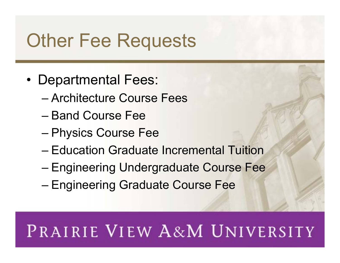# Other Fee Requests

- Departmental Fees:
	- Architecture Course Fees
	- Band Course Fee
	- Physics Course Fee
	- Education Graduate Incremental Tuition
	- Engineering Undergraduate Course Fee
	- Engineering Graduate Course Fee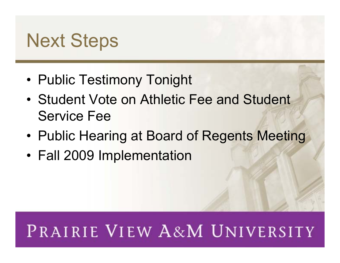# Next Steps

- Public Testimony Tonight
- Student Vote on Athletic Fee and Student Service Fee
- Public Hearing at Board of Regents Meeting
- Fall 2009 Implementation